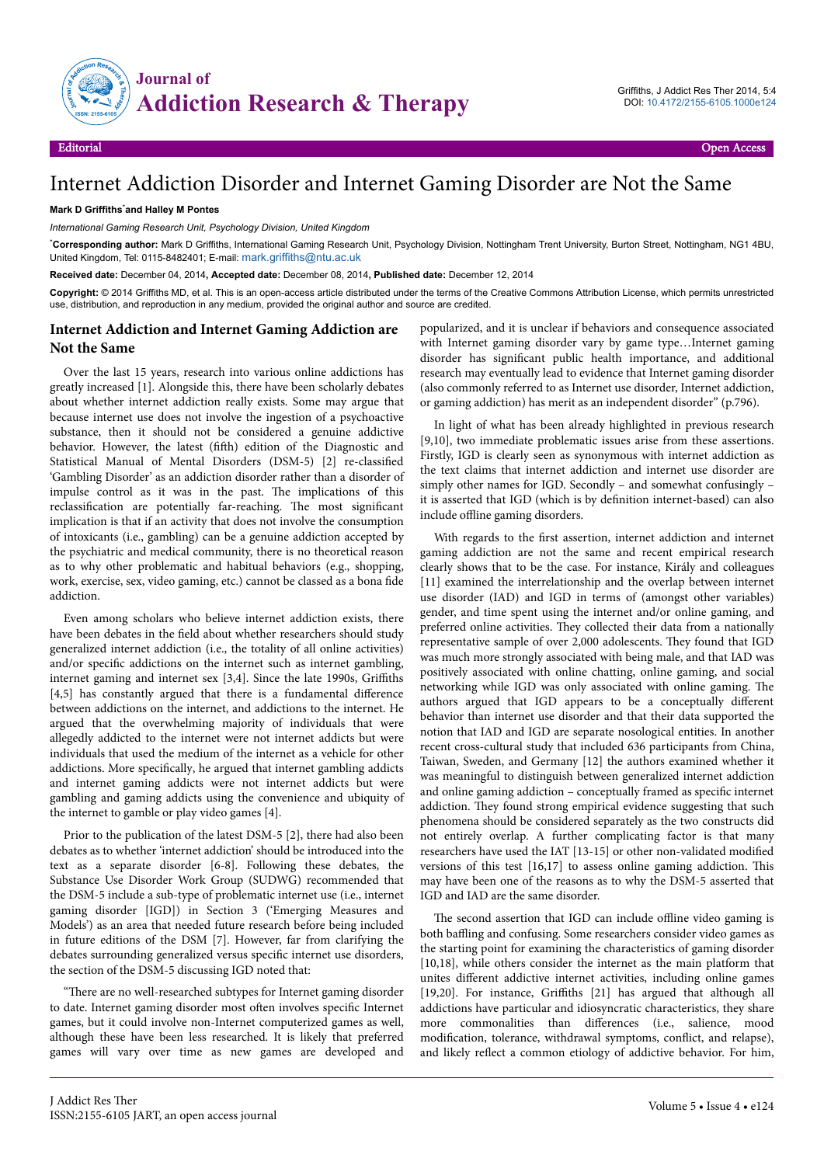

## Internet Addiction Disorder and Internet Gaming Disorder are Not the Same

## **Mark D Griffiths**\***and Halley M Pontes**

*International Gaming Research Unit, Psychology Division, United Kingdom*

\***Corresponding author:** Mark D Griffiths, International Gaming Research Unit, Psychology Division, Nottingham Trent University, Burton Street, Nottingham, NG1 4BU, United Kingdom, Tel: 0115-8482401; E-mail: [mark.griffiths@ntu.ac.uk](mailto:mark.griffiths@ntu.ac.uk)

**Received date:** December 04, 2014**, Accepted date:** December 08, 2014**, Published date:** December 12, 2014

**Copyright:** © 2014 Griffiths MD, et al. This is an open-access article distributed under the terms of the Creative Commons Attribution License, which permits unrestricted use, distribution, and reproduction in any medium, provided the original author and source are credited.

## **Internet Addiction and Internet Gaming Addiction are Not the Same**

Over the last 15 years, research into various online addictions has greatly increased [1]. Alongside this, there have been scholarly debates about whether internet addiction really exists. Some may argue that because internet use does not involve the ingestion of a psychoactive substance, then it should not be considered a genuine addictive behavior. However, the latest (fifth) edition of the Diagnostic and Statistical Manual of Mental Disorders (DSM-5) [2] re-classified 'Gambling Disorder' as an addiction disorder rather than a disorder of impulse control as it was in the past. Нe implications of this reclassification are potentially far-reaching. Нe most significant implication is that if an activity that does not involve the consumption of intoxicants (i.e., gambling) can be a genuine addiction accepted by the psychiatric and medical community, there is no theoretical reason as to why other problematic and habitual behaviors (e.g., shopping, work, exercise, sex, video gaming, etc.) cannot be classed as a bona fide addiction.

Even among scholars who believe internet addiction exists, there have been debates in the field about whether researchers should study generalized internet addiction (i.e., the totality of all online activities) and/or specific addictions on the internet such as internet gambling, internet gaming and internet sex  $[3,4]$ . Since the late 1990s, Griffiths  $[4,5]$  has constantly argued that there is a fundamental difference between addictions on the internet, and addictions to the internet. He argued that the overwhelming majority of individuals that were allegedly addicted to the internet were not internet addicts but were individuals that used the medium of the internet as a vehicle for other addictions. More specifically, he argued that internet gambling addicts and internet gaming addicts were not internet addicts but were gambling and gaming addicts using the convenience and ubiquity of the internet to gamble or play video games [4].

Prior to the publication of the latest DSM-5 [2], there had also been debates as to whether 'internet addiction' should be introduced into the text as a separate disorder [6-8]. Following these debates, the Substance Use Disorder Work Group (SUDWG) recommended that the DSM-5 include a sub-type of problematic internet use (i.e., internet gaming disorder [IGD]) in Section 3 ('Emerging Measures and Models') as an area that needed future research before being included in future editions of the DSM [7]. However, far from clarifying the debates surrounding generalized versus specific internet use disorders, the section of the DSM-5 discussing IGD noted that:

ͦНere are no well-researched subtypes for Internet gaming disorder to date. Internet gaming disorder most often involves specific Internet games, but it could involve non-Internet computerized games as well, although these have been less researched. It is likely that preferred games will vary over time as new games are developed and

popularized, and it is unclear if behaviors and consequence associated with Internet gaming disorder vary by game type…Internet gaming disorder has significant public health importance, and additional research may eventually lead to evidence that Internet gaming disorder (also commonly referred to as Internet use disorder, Internet addiction, or gaming addiction) has merit as an independent disorder" (p.796).

In light of what has been already highlighted in previous research [9,10], two immediate problematic issues arise from these assertions. Firstly, IGD is clearly seen as synonymous with internet addiction as the text claims that internet addiction and internet use disorder are simply other names for IGD. Secondly – and somewhat confusingly – it is asserted that IGD (which is by definition internet-based) can also include offline gaming disorders.

With regards to the first assertion, internet addiction and internet gaming addiction are not the same and recent empirical research clearly shows that to be the case. For instance, Király and colleagues [11] examined the interrelationship and the overlap between internet use disorder (IAD) and IGD in terms of (amongst other variables) gender, and time spent using the internet and/or online gaming, and preferred online activities. They collected their data from a nationally representative sample of over 2,000 adolescents. They found that IGD was much more strongly associated with being male, and that IAD was positively associated with online chatting, online gaming, and social networking while IGD was only associated with online gaming. Нe authors argued that IGD appears to be a conceptually different behavior than internet use disorder and that their data supported the notion that IAD and IGD are separate nosological entities. In another recent cross-cultural study that included 636 participants from China, Taiwan, Sweden, and Germany [12] the authors examined whether it was meaningful to distinguish between generalized internet addiction and online gaming addiction – conceptually framed as specific internet addiction. They found strong empirical evidence suggesting that such phenomena should be considered separately as the two constructs did not entirely overlap. A further complicating factor is that many researchers have used the IAT [13-15] or other non-validated modified versions of this test [16,17] to assess online gaming addiction. Нis may have been one of the reasons as to why the DSM-5 asserted that IGD and IAD are the same disorder.

The second assertion that IGD can include offline video gaming is both baffling and confusing. Some researchers consider video games as the starting point for examining the characteristics of gaming disorder [10,18], while others consider the internet as the main platform that unites different addictive internet activities, including online games [19,20]. For instance,  $Griffiths$  [21] has argued that although all addictions have particular and idiosyncratic characteristics, they share more commonalities than differences (i.e., salience, mood modification, tolerance, withdrawal symptoms, conflict, and relapse), and likely reflect a common etiology of addictive behavior. For him,